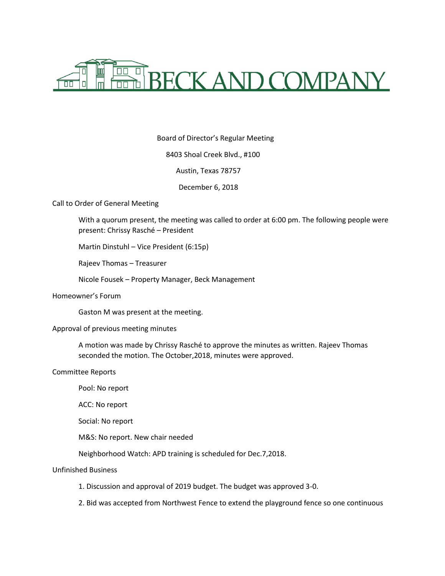

Board of Director's Regular Meeting

8403 Shoal Creek Blvd., #100

Austin, Texas 78757

December 6, 2018

Call to Order of General Meeting

With a quorum present, the meeting was called to order at 6:00 pm. The following people were present: Chrissy Rasché – President

Martin Dinstuhl – Vice President (6:15p)

Rajeev Thomas – Treasurer

Nicole Fousek – Property Manager, Beck Management

Homeowner's Forum

Gaston M was present at the meeting.

## Approval of previous meeting minutes

A motion was made by Chrissy Rasché to approve the minutes as written. Rajeev Thomas seconded the motion. The October,2018, minutes were approved.

# Committee Reports

Pool: No report ACC: No report Social: No report M&S: No report. New chair needed

Neighborhood Watch: APD training is scheduled for Dec.7,2018.

## Unfinished Business

- 1. Discussion and approval of 2019 budget. The budget was approved 3-0.
- 2. Bid was accepted from Northwest Fence to extend the playground fence so one continuous